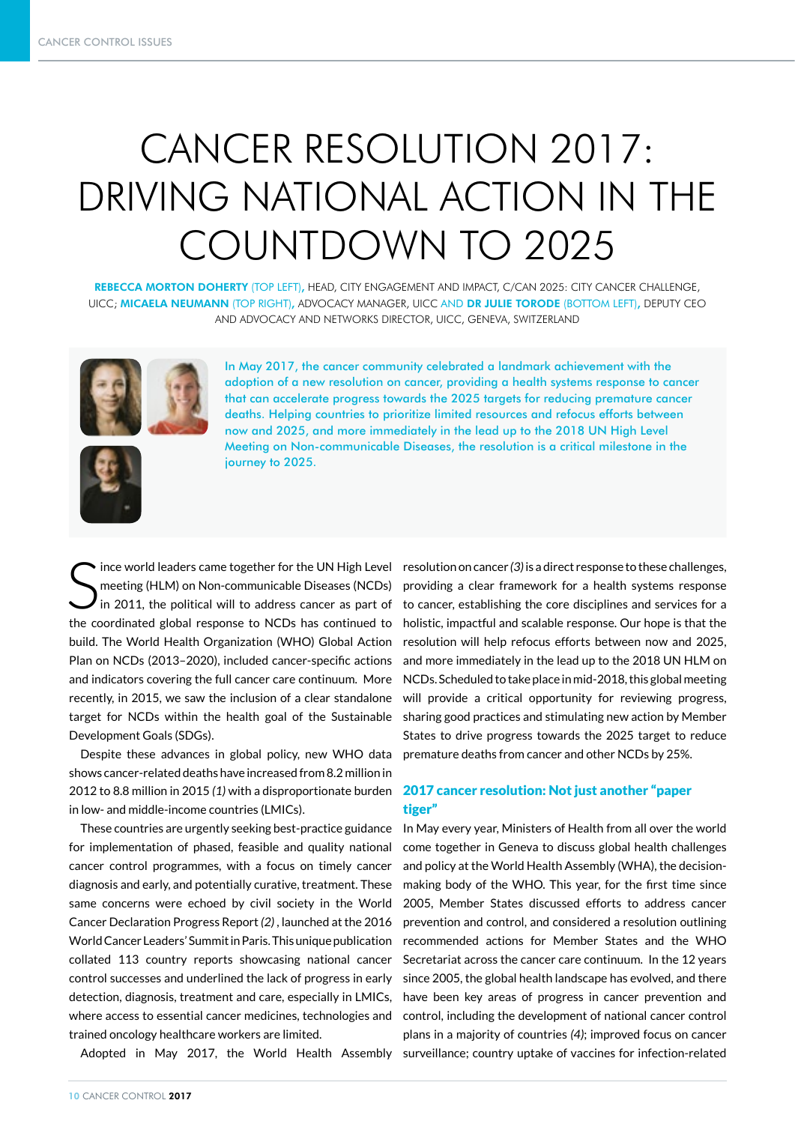# CANCER RESOLUTION 2017: DRIVING NATIONAL ACTION IN THE COUNTDOWN TO 2025

REBECCA MORTON DOHERTY (TOP LEFT), HEAD, CITY ENGAGEMENT AND IMPACT, C/CAN 2025: CITY CANCER CHALLENGE, UICC; MICAELA NEUMANN (TOP RIGHT), ADVOCACY MANAGER, UICC AND DR JULIE TORODE (BOTTOM LEFT), DEPUTY CEO AND ADVOCACY AND NETWORKS DIRECTOR, UICC, GENEVA, SWITZERLAND





In May 2017, the cancer community celebrated a landmark achievement with the adoption of a new resolution on cancer, providing a health systems response to cancer that can accelerate progress towards the 2025 targets for reducing premature cancer deaths. Helping countries to prioritize limited resources and refocus efforts between now and 2025, and more immediately in the lead up to the 2018 UN High Level Meeting on Non-communicable Diseases, the resolution is a critical milestone in the journey to 2025.

S meeting (HLM) on Non-communicable Diseases (NCDs) in 2011, the political will to address cancer as part of the coordinated global response to NCDs has continued to build. The World Health Organization (WHO) Global Action Plan on NCDs (2013–2020), included cancer-specific actions and indicators covering the full cancer care continuum. More recently, in 2015, we saw the inclusion of a clear standalone target for NCDs within the health goal of the Sustainable Development Goals (SDGs).

Despite these advances in global policy, new WHO data shows cancer-related deaths have increased from 8.2 million in 2012 to 8.8 million in 2015 *(1)* with a disproportionate burden in low- and middle-income countries (LMICs).

These countries are urgently seeking best-practice guidance for implementation of phased, feasible and quality national cancer control programmes, with a focus on timely cancer diagnosis and early, and potentially curative, treatment. These same concerns were echoed by civil society in the World Cancer Declaration Progress Report *(2)* , launched at the 2016 World Cancer Leaders' Summit in Paris. This unique publication collated 113 country reports showcasing national cancer control successes and underlined the lack of progress in early detection, diagnosis, treatment and care, especially in LMICs, where access to essential cancer medicines, technologies and trained oncology healthcare workers are limited.

Adopted in May 2017, the World Health Assembly

ince world leaders came together for the UN High Level resolution on cancer (3) is a direct response to these challenges, providing a clear framework for a health systems response to cancer, establishing the core disciplines and services for a holistic, impactful and scalable response. Our hope is that the resolution will help refocus efforts between now and 2025, and more immediately in the lead up to the 2018 UN HLM on NCDs. Scheduled to take place in mid-2018, this global meeting will provide a critical opportunity for reviewing progress, sharing good practices and stimulating new action by Member States to drive progress towards the 2025 target to reduce premature deaths from cancer and other NCDs by 25%.

## 2017 cancer resolution: Not just another "paper tiger"

In May every year, Ministers of Health from all over the world come together in Geneva to discuss global health challenges and policy at the World Health Assembly (WHA), the decisionmaking body of the WHO. This year, for the first time since 2005, Member States discussed efforts to address cancer prevention and control, and considered a resolution outlining recommended actions for Member States and the WHO Secretariat across the cancer care continuum. In the 12 years since 2005, the global health landscape has evolved, and there have been key areas of progress in cancer prevention and control, including the development of national cancer control plans in a majority of countries *(4)*; improved focus on cancer surveillance; country uptake of vaccines for infection-related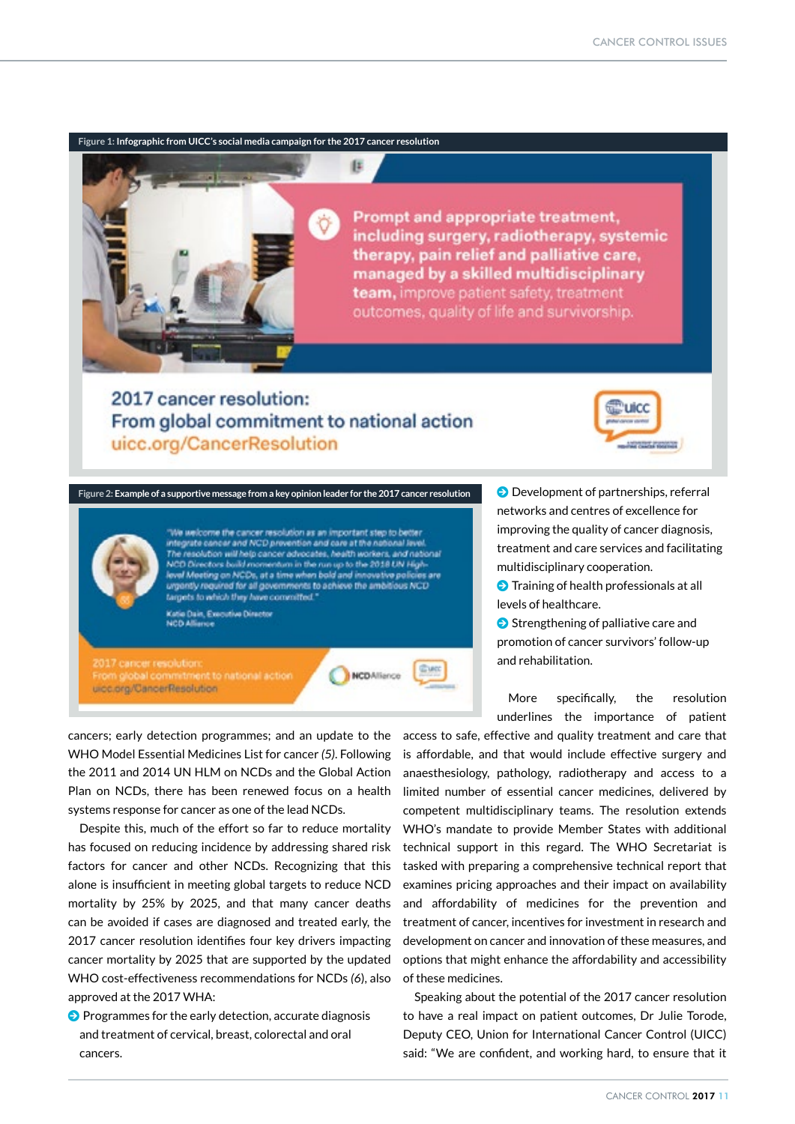## **Figure 1: Infographic from UICC's social media campaign for the 2017 cancer resolution**

(E

Prompt and appropriate treatment, including surgery, radiotherapy, systemic therapy, pain relief and palliative care, managed by a skilled multidisciplinary team, improve patient safety, treatment outcomes, quality of life and survivorship.

## 2017 cancer resolution: From global commitment to national action uicc.org/CancerResolution



**Figure 2: Example of a supportive message from a key opinion leader for the 2017 cancer resolution** 

We welcome the cancer resolution as an important step to better integrate cancer and NCD prevention and care at the national I The resolution will help cancer advocates, health workers, and national NCD Directors build momentum in the run up to the 2018 UN High-<br>level Meeting on NCDs, at a time when bold and innovative policies are<br>urgantly required for all governments to achieve the ambitious NCD targets to which they have committed." **Katie Dain, Executive Director**<br>NCD Alliance

2017 cancer resolution uicc.org/CancerResolution



**O** Development of partnerships, referral networks and centres of excellence for improving the quality of cancer diagnosis, treatment and care services and facilitating multidisciplinary cooperation.

 $\Theta$  Training of health professionals at all levels of healthcare.

 $\bigcirc$  Strengthening of palliative care and promotion of cancer survivors' follow-up and rehabilitation.

More specifically, the resolution underlines the importance of patient

cancers; early detection programmes; and an update to the WHO Model Essential Medicines List for cancer *(5)*. Following the 2011 and 2014 UN HLM on NCDs and the Global Action Plan on NCDs, there has been renewed focus on a health systems response for cancer as one of the lead NCDs.

Despite this, much of the effort so far to reduce mortality has focused on reducing incidence by addressing shared risk factors for cancer and other NCDs. Recognizing that this alone is insufficient in meeting global targets to reduce NCD mortality by 25% by 2025, and that many cancer deaths can be avoided if cases are diagnosed and treated early, the 2017 cancer resolution identifies four key drivers impacting cancer mortality by 2025 that are supported by the updated WHO cost-effectiveness recommendations for NCDs *(6*), also approved at the 2017 WHA:

 $\odot$  Programmes for the early detection, accurate diagnosis and treatment of cervical, breast, colorectal and oral cancers.

access to safe, effective and quality treatment and care that is affordable, and that would include effective surgery and anaesthesiology, pathology, radiotherapy and access to a limited number of essential cancer medicines, delivered by competent multidisciplinary teams. The resolution extends WHO's mandate to provide Member States with additional technical support in this regard. The WHO Secretariat is tasked with preparing a comprehensive technical report that examines pricing approaches and their impact on availability and affordability of medicines for the prevention and treatment of cancer, incentives for investment in research and development on cancer and innovation of these measures, and options that might enhance the affordability and accessibility of these medicines.

Speaking about the potential of the 2017 cancer resolution to have a real impact on patient outcomes, Dr Julie Torode, Deputy CEO, Union for International Cancer Control (UICC) said: "We are confident, and working hard, to ensure that it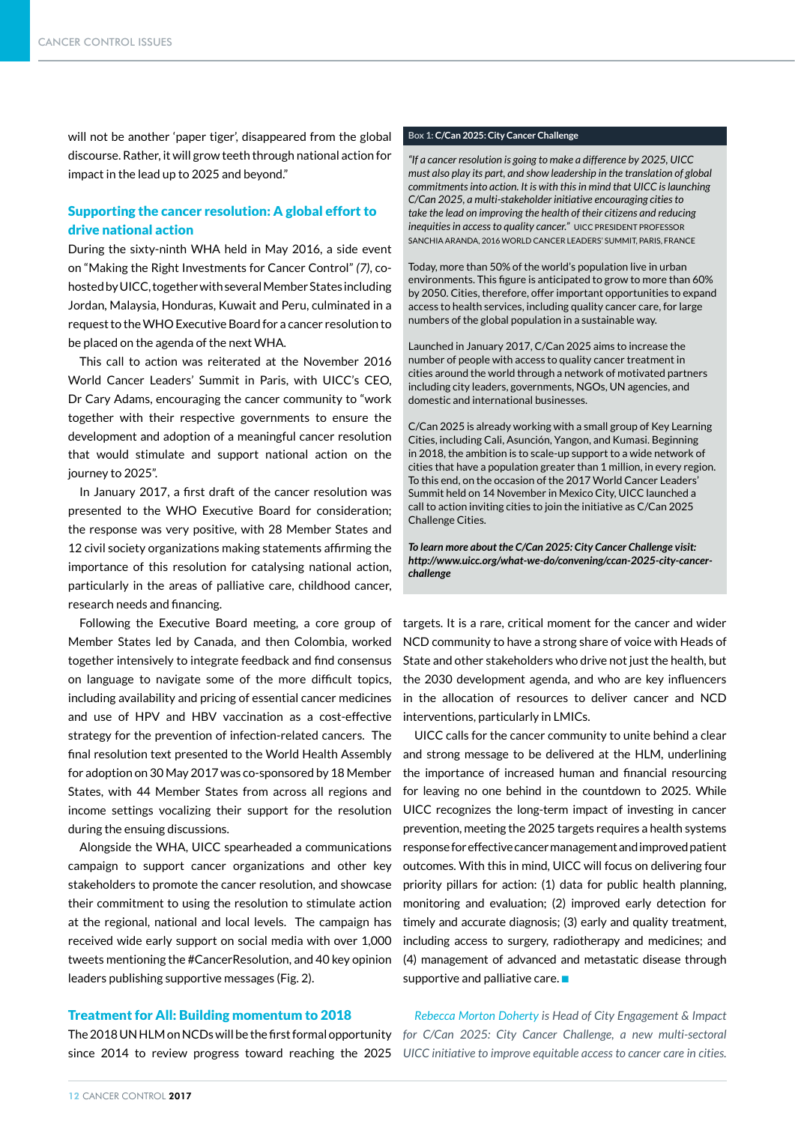will not be another 'paper tiger', disappeared from the global discourse. Rather, it will grow teeth through national action for impact in the lead up to 2025 and beyond."

## Supporting the cancer resolution: A global effort to drive national action

During the sixty-ninth WHA held in May 2016, a side event on "Making the Right Investments for Cancer Control" *(7)*, cohosted by UICC, together with several Member States including Jordan, Malaysia, Honduras, Kuwait and Peru, culminated in a request to the WHO Executive Board for a cancer resolution to be placed on the agenda of the next WHA.

This call to action was reiterated at the November 2016 World Cancer Leaders' Summit in Paris, with UICC's CEO, Dr Cary Adams, encouraging the cancer community to "work together with their respective governments to ensure the development and adoption of a meaningful cancer resolution that would stimulate and support national action on the journey to 2025".

In January 2017, a first draft of the cancer resolution was presented to the WHO Executive Board for consideration; the response was very positive, with 28 Member States and 12 civil society organizations making statements affirming the importance of this resolution for catalysing national action, particularly in the areas of palliative care, childhood cancer, research needs and financing.

Following the Executive Board meeting, a core group of Member States led by Canada, and then Colombia, worked together intensively to integrate feedback and find consensus on language to navigate some of the more difficult topics, including availability and pricing of essential cancer medicines and use of HPV and HBV vaccination as a cost-effective strategy for the prevention of infection-related cancers. The final resolution text presented to the World Health Assembly for adoption on 30 May 2017 was co-sponsored by 18 Member States, with 44 Member States from across all regions and income settings vocalizing their support for the resolution during the ensuing discussions.

Alongside the WHA, UICC spearheaded a communications campaign to support cancer organizations and other key stakeholders to promote the cancer resolution, and showcase their commitment to using the resolution to stimulate action at the regional, national and local levels. The campaign has received wide early support on social media with over 1,000 tweets mentioning the #CancerResolution, and 40 key opinion leaders publishing supportive messages (Fig. 2).

### Treatment for All: Building momentum to 2018

The 2018 UN HLM on NCDs will be the first formal opportunity for C/Can 2025: City Cancer Challenge, a new multi-sectoral

### **Box 1: C/Can 2025: City Cancer Challenge**

*"If a cancer resolution is going to make a difference by 2025, UICC must also play its part, and show leadership in the translation of global commitments into action. It is with this in mind that UICC is launching C/Can 2025, a multi-stakeholder initiative encouraging cities to take the lead on improving the health of their citizens and reducing inequities in access to quality cancer.*" UICC PRESIDENT PROFESSOR SANCHIA ARANDA, 2016 WORLD CANCER LEADERS' SUMMIT, PARIS, FRANCE

Today, more than 50% of the world's population live in urban environments. This figure is anticipated to grow to more than 60% by 2050. Cities, therefore, offer important opportunities to expand access to health services, including quality cancer care, for large numbers of the global population in a sustainable way.

Launched in January 2017, C/Can 2025 aims to increase the number of people with access to quality cancer treatment in cities around the world through a network of motivated partners including city leaders, governments, NGOs, UN agencies, and domestic and international businesses.

C/Can 2025 is already working with a small group of Key Learning Cities, including Cali, Asunción, Yangon, and Kumasi. Beginning in 2018, the ambition is to scale-up support to a wide network of cities that have a population greater than 1 million, in every region. To this end, on the occasion of the 2017 World Cancer Leaders' Summit held on 14 November in Mexico City, UICC launched a call to action inviting cities to join the initiative as C/Can 2025 Challenge Cities.

*To learn more about the C/Can 2025: City Cancer Challenge visit: http://www.uicc.org/what-we-do/convening/ccan-2025-city-cancerchallenge*

targets. It is a rare, critical moment for the cancer and wider NCD community to have a strong share of voice with Heads of State and other stakeholders who drive not just the health, but the 2030 development agenda, and who are key influencers in the allocation of resources to deliver cancer and NCD interventions, particularly in LMICs.

UICC calls for the cancer community to unite behind a clear and strong message to be delivered at the HLM, underlining the importance of increased human and financial resourcing for leaving no one behind in the countdown to 2025. While UICC recognizes the long-term impact of investing in cancer prevention, meeting the 2025 targets requires a health systems response for effective cancer management and improved patient outcomes. With this in mind, UICC will focus on delivering four priority pillars for action: (1) data for public health planning, monitoring and evaluation; (2) improved early detection for timely and accurate diagnosis; (3) early and quality treatment, including access to surgery, radiotherapy and medicines; and (4) management of advanced and metastatic disease through supportive and palliative care.  $\blacksquare$ 

*Rebecca Morton Doherty is Head of City Engagement & Impact*  since 2014 to review progress toward reaching the 2025 UICC initiative to improve equitable access to cancer care in cities.